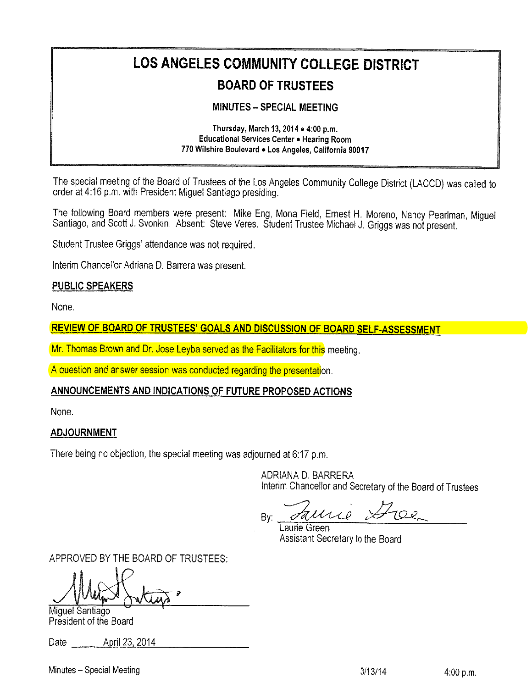# LOS ANGELES COMMUNITY COLLEGE DISTRICT

## **BOARD OF TRUSTEES**

### **MINUTES - SPECIAL MEETING**

Thursday, March 13, 2014 . 4:00 p.m. Educational Services Center . Hearing Room 770 Wilshire Boulevard . Los Angeles, California 90017

The special meeting of the Board of Trustees of the Los Angeles Community College District (LACCD) was called to order at 4:16 p.m. with President Miguel Santiago presiding.

The following Board members were present: Mike Eng, Mona Field, Ernest H. Moreno, Nancy Pearlman, Miguel Santiago, and Scott J. Svonkin. Absent: Steve Veres. Student Trustee Michael J. Griggs was not present.

Student Trustee Griggs' attendance was not required.

Interim Chancellor Adriana D. Barrera was present.

#### **PUBLIC SPEAKERS**

None.

REVIEW OF BOARD OF TRUSTEES' GOALS AND DISCUSSION OF BOARD SELF-ASSESSMENT

Mr. Thomas Brown and Dr. Jose Leyba served as the Facilitators for this meeting.

A question and answer session was conducted regarding the presentation.

#### ANNOUNCEMENTS AND INDICATIONS OF FUTURE PROPOSED ACTIONS

None.

#### **ADJOURNMENT**

There being no objection, the special meeting was adjourned at 6:17 p.m.

ADRIANA D. BARRERA Interim Chancellor and Secretary of the Board of Trustees

 $100$ By:

Laurie Green Assistant Secretary to the Board

APPROVED BY THE BOARD OF TRUSTEES:

Miquel Santiago President of the Board

Date April 23, 2014

Minutes - Special Meeting